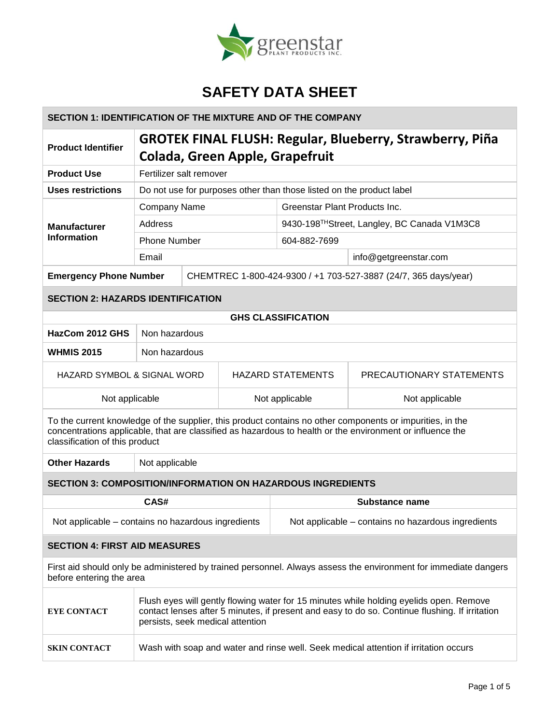

### **SECTION 1: IDENTIFICATION OF THE MIXTURE AND OF THE COMPANY**

| <b>Product Identifier</b>                 | <b>GROTEK FINAL FLUSH: Regular, Blueberry, Strawberry, Piña</b><br>Colada, Green Apple, Grapefruit |  |                                                                 |                       |  |
|-------------------------------------------|----------------------------------------------------------------------------------------------------|--|-----------------------------------------------------------------|-----------------------|--|
| <b>Product Use</b>                        | Fertilizer salt remover                                                                            |  |                                                                 |                       |  |
| Uses restrictions                         | Do not use for purposes other than those listed on the product label                               |  |                                                                 |                       |  |
| <b>Manufacturer</b><br><b>Information</b> | <b>Company Name</b>                                                                                |  | Greenstar Plant Products Inc.                                   |                       |  |
|                                           | Address                                                                                            |  | 9430-198TH Street, Langley, BC Canada V1M3C8                    |                       |  |
|                                           | <b>Phone Number</b>                                                                                |  | 604-882-7699                                                    |                       |  |
|                                           | Email                                                                                              |  |                                                                 | info@getgreenstar.com |  |
| <b>Emergency Phone Number</b>             |                                                                                                    |  | CHEMTREC 1-800-424-9300 / +1 703-527-3887 (24/7, 365 days/year) |                       |  |
| <b>SECTION 2: HAZARDS IDENTIFICATION</b>  |                                                                                                    |  |                                                                 |                       |  |
| <b>GHS CLASSIFICATION</b>                 |                                                                                                    |  |                                                                 |                       |  |
| HazCom 2012 GHS                           | Non hazardous                                                                                      |  |                                                                 |                       |  |
| <b>WHMIS 2015</b>                         | Non hazardous                                                                                      |  |                                                                 |                       |  |
|                                           |                                                                                                    |  |                                                                 |                       |  |

HAZARD SYMBOL & SIGNAL WORD | HAZARD STATEMENTS | PRECAUTIONARY STATEMENTS Not applicable  $\blacksquare$  Not applicable  $\blacksquare$  Not applicable  $\blacksquare$  Not applicable

To the current knowledge of the supplier, this product contains no other components or impurities, in the concentrations applicable, that are classified as hazardous to health or the environment or influence the classification of this product

**Other Hazards** Not applicable

### **SECTION 3: COMPOSITION/INFORMATION ON HAZARDOUS INGREDIENTS**

| CAS#                                                                                                                                        | Substance name                                     |  |  |  |  |
|---------------------------------------------------------------------------------------------------------------------------------------------|----------------------------------------------------|--|--|--|--|
| Not applicable – contains no hazardous ingredients                                                                                          | Not applicable – contains no hazardous ingredients |  |  |  |  |
| <b>SECTION 4: FIRST AID MEASURES</b>                                                                                                        |                                                    |  |  |  |  |
| First aid should only be administered by trained personnel. Always assess the environment for immediate dangers<br>before entering the area |                                                    |  |  |  |  |
| Flush eyes will gently flowing water for 15 minutes while holding eyelids open. Remove                                                      |                                                    |  |  |  |  |

| <b>EYE CONTACT</b>  | FIGURE EVES WILL GENTLY HOWING WATER TOL 15 MINUTES WHILE HOIGHING EVENDS OPEN. REMOVE<br>contact lenses after 5 minutes, if present and easy to do so. Continue flushing. If irritation<br>persists, seek medical attention |
|---------------------|------------------------------------------------------------------------------------------------------------------------------------------------------------------------------------------------------------------------------|
| <b>SKIN CONTACT</b> | Wash with soap and water and rinse well. Seek medical attention if irritation occurs                                                                                                                                         |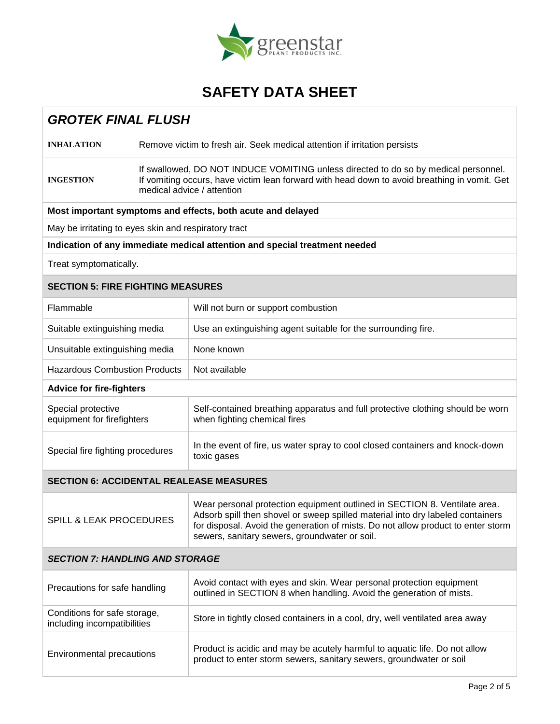

| <b>GROTEK FINAL FLUSH</b>                                   |                                                                                                                                                                                                                   |                                                                                                                                                                                                                                                                                                  |  |  |  |
|-------------------------------------------------------------|-------------------------------------------------------------------------------------------------------------------------------------------------------------------------------------------------------------------|--------------------------------------------------------------------------------------------------------------------------------------------------------------------------------------------------------------------------------------------------------------------------------------------------|--|--|--|
| <b>INHALATION</b>                                           | Remove victim to fresh air. Seek medical attention if irritation persists                                                                                                                                         |                                                                                                                                                                                                                                                                                                  |  |  |  |
| <b>INGESTION</b>                                            | If swallowed, DO NOT INDUCE VOMITING unless directed to do so by medical personnel.<br>If vomiting occurs, have victim lean forward with head down to avoid breathing in vomit. Get<br>medical advice / attention |                                                                                                                                                                                                                                                                                                  |  |  |  |
|                                                             | Most important symptoms and effects, both acute and delayed                                                                                                                                                       |                                                                                                                                                                                                                                                                                                  |  |  |  |
| May be irritating to eyes skin and respiratory tract        |                                                                                                                                                                                                                   |                                                                                                                                                                                                                                                                                                  |  |  |  |
|                                                             |                                                                                                                                                                                                                   | Indication of any immediate medical attention and special treatment needed                                                                                                                                                                                                                       |  |  |  |
| Treat symptomatically.                                      |                                                                                                                                                                                                                   |                                                                                                                                                                                                                                                                                                  |  |  |  |
| <b>SECTION 5: FIRE FIGHTING MEASURES</b>                    |                                                                                                                                                                                                                   |                                                                                                                                                                                                                                                                                                  |  |  |  |
| Flammable                                                   |                                                                                                                                                                                                                   | Will not burn or support combustion                                                                                                                                                                                                                                                              |  |  |  |
| Suitable extinguishing media                                |                                                                                                                                                                                                                   | Use an extinguishing agent suitable for the surrounding fire.                                                                                                                                                                                                                                    |  |  |  |
| Unsuitable extinguishing media                              |                                                                                                                                                                                                                   | None known                                                                                                                                                                                                                                                                                       |  |  |  |
| <b>Hazardous Combustion Products</b>                        |                                                                                                                                                                                                                   | Not available                                                                                                                                                                                                                                                                                    |  |  |  |
| <b>Advice for fire-fighters</b>                             |                                                                                                                                                                                                                   |                                                                                                                                                                                                                                                                                                  |  |  |  |
| Special protective<br>equipment for firefighters            |                                                                                                                                                                                                                   | Self-contained breathing apparatus and full protective clothing should be worn<br>when fighting chemical fires                                                                                                                                                                                   |  |  |  |
| Special fire fighting procedures                            |                                                                                                                                                                                                                   | In the event of fire, us water spray to cool closed containers and knock-down<br>toxic gases                                                                                                                                                                                                     |  |  |  |
| <b>SECTION 6: ACCIDENTAL REALEASE MEASURES</b>              |                                                                                                                                                                                                                   |                                                                                                                                                                                                                                                                                                  |  |  |  |
| <b>SPILL &amp; LEAK PROCEDURES</b>                          |                                                                                                                                                                                                                   | Wear personal protection equipment outlined in SECTION 8. Ventilate area.<br>Adsorb spill then shovel or sweep spilled material into dry labeled containers<br>for disposal. Avoid the generation of mists. Do not allow product to enter storm<br>sewers, sanitary sewers, groundwater or soil. |  |  |  |
| <b>SECTION 7: HANDLING AND STORAGE</b>                      |                                                                                                                                                                                                                   |                                                                                                                                                                                                                                                                                                  |  |  |  |
| Precautions for safe handling                               |                                                                                                                                                                                                                   | Avoid contact with eyes and skin. Wear personal protection equipment<br>outlined in SECTION 8 when handling. Avoid the generation of mists.                                                                                                                                                      |  |  |  |
| Conditions for safe storage,<br>including incompatibilities |                                                                                                                                                                                                                   | Store in tightly closed containers in a cool, dry, well ventilated area away                                                                                                                                                                                                                     |  |  |  |
| Environmental precautions                                   |                                                                                                                                                                                                                   | Product is acidic and may be acutely harmful to aquatic life. Do not allow<br>product to enter storm sewers, sanitary sewers, groundwater or soil                                                                                                                                                |  |  |  |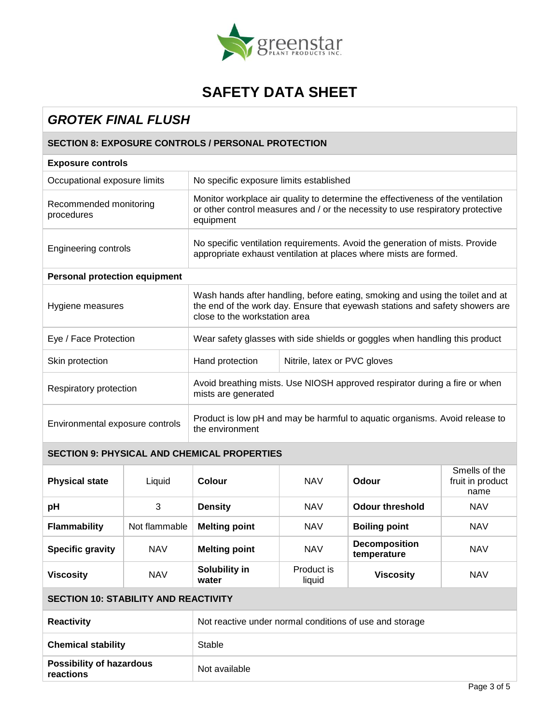

## *GROTEK FINAL FLUSH*

### **SECTION 8: EXPOSURE CONTROLS / PERSONAL PROTECTION**

| <b>Exposure controls</b>             |                                                                                                                                                                                                |                              |  |  |  |
|--------------------------------------|------------------------------------------------------------------------------------------------------------------------------------------------------------------------------------------------|------------------------------|--|--|--|
| Occupational exposure limits         | No specific exposure limits established                                                                                                                                                        |                              |  |  |  |
| Recommended monitoring<br>procedures | Monitor workplace air quality to determine the effectiveness of the ventilation<br>or other control measures and / or the necessity to use respiratory protective<br>equipment                 |                              |  |  |  |
| Engineering controls                 | No specific ventilation requirements. Avoid the generation of mists. Provide<br>appropriate exhaust ventilation at places where mists are formed.                                              |                              |  |  |  |
| <b>Personal protection equipment</b> |                                                                                                                                                                                                |                              |  |  |  |
| Hygiene measures                     | Wash hands after handling, before eating, smoking and using the toilet and at<br>the end of the work day. Ensure that eyewash stations and safety showers are<br>close to the workstation area |                              |  |  |  |
| Eye / Face Protection                | Wear safety glasses with side shields or goggles when handling this product                                                                                                                    |                              |  |  |  |
| Skin protection                      | Hand protection                                                                                                                                                                                | Nitrile, latex or PVC gloves |  |  |  |
| Respiratory protection               | Avoid breathing mists. Use NIOSH approved respirator during a fire or when<br>mists are generated                                                                                              |                              |  |  |  |
| Environmental exposure controls      | Product is low pH and may be harmful to aquatic organisms. Avoid release to<br>the environment                                                                                                 |                              |  |  |  |

### **SECTION 9: PHYSICAL AND CHEMICAL PROPERTIES**

| <b>Physical state</b>   | Liquid        | Colour                                                     | <b>NAV</b>                                        | Odour            | Smells of the<br>fruit in product<br>name |
|-------------------------|---------------|------------------------------------------------------------|---------------------------------------------------|------------------|-------------------------------------------|
| pH                      | 3             | <b>Density</b><br><b>NAV</b><br>Odour threshold            |                                                   | <b>NAV</b>       |                                           |
| <b>Flammability</b>     | Not flammable | <b>Melting point</b><br><b>NAV</b><br><b>Boiling point</b> |                                                   |                  | <b>NAV</b>                                |
| <b>Specific gravity</b> | <b>NAV</b>    | <b>Melting point</b>                                       | <b>Decomposition</b><br><b>NAV</b><br>temperature |                  | <b>NAV</b>                                |
| <b>Viscosity</b>        | <b>NAV</b>    | Solubility in<br>water                                     | Product is<br>liquid                              | <b>Viscosity</b> | <b>NAV</b>                                |

#### **SECTION 10: STABILITY AND REACTIVITY**

| <b>Reactivity</b>                            | Not reactive under normal conditions of use and storage |
|----------------------------------------------|---------------------------------------------------------|
| <b>Chemical stability</b>                    | Stable                                                  |
| <b>Possibility of hazardous</b><br>reactions | Not available                                           |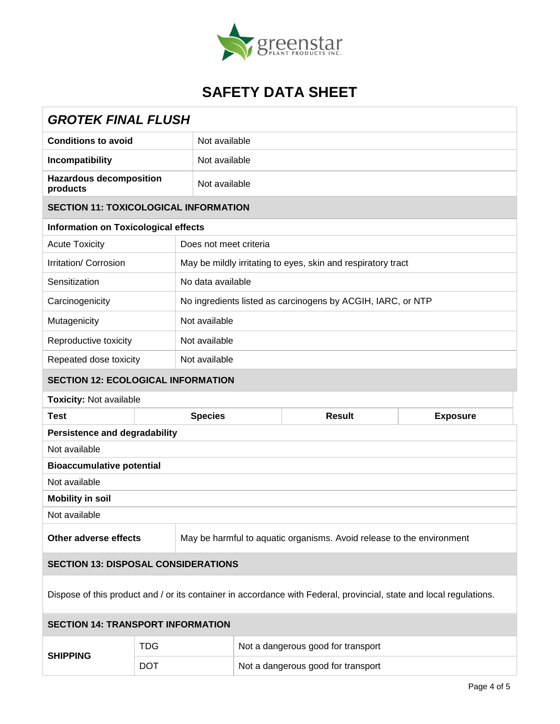

| <b>GROTEK FINAL FLUSH</b>                                                                                           |                                              |                                                                       |  |                                                             |  |  |
|---------------------------------------------------------------------------------------------------------------------|----------------------------------------------|-----------------------------------------------------------------------|--|-------------------------------------------------------------|--|--|
| <b>Conditions to avoid</b>                                                                                          |                                              | Not available                                                         |  |                                                             |  |  |
| Incompatibility                                                                                                     |                                              | Not available                                                         |  |                                                             |  |  |
| <b>Hazardous decomposition</b><br>products                                                                          |                                              | Not available                                                         |  |                                                             |  |  |
|                                                                                                                     | <b>SECTION 11: TOXICOLOGICAL INFORMATION</b> |                                                                       |  |                                                             |  |  |
|                                                                                                                     | <b>Information on Toxicological effects</b>  |                                                                       |  |                                                             |  |  |
| <b>Acute Toxicity</b>                                                                                               |                                              | Does not meet criteria                                                |  |                                                             |  |  |
| Irritation/ Corrosion                                                                                               |                                              | May be mildly irritating to eyes, skin and respiratory tract          |  |                                                             |  |  |
| Sensitization                                                                                                       |                                              | No data available                                                     |  |                                                             |  |  |
| Carcinogenicity                                                                                                     |                                              |                                                                       |  | No ingredients listed as carcinogens by ACGIH, IARC, or NTP |  |  |
| Mutagenicity                                                                                                        |                                              | Not available                                                         |  |                                                             |  |  |
| Reproductive toxicity                                                                                               |                                              | Not available                                                         |  |                                                             |  |  |
| Repeated dose toxicity                                                                                              |                                              | Not available                                                         |  |                                                             |  |  |
| <b>SECTION 12: ECOLOGICAL INFORMATION</b>                                                                           |                                              |                                                                       |  |                                                             |  |  |
| <b>Toxicity: Not available</b>                                                                                      |                                              |                                                                       |  |                                                             |  |  |
| <b>Test</b>                                                                                                         |                                              | <b>Species</b><br><b>Result</b><br><b>Exposure</b>                    |  |                                                             |  |  |
| <b>Persistence and degradability</b>                                                                                |                                              |                                                                       |  |                                                             |  |  |
| Not available                                                                                                       |                                              |                                                                       |  |                                                             |  |  |
| <b>Bioaccumulative potential</b>                                                                                    |                                              |                                                                       |  |                                                             |  |  |
| Not available                                                                                                       |                                              |                                                                       |  |                                                             |  |  |
| <b>Mobility in soil</b>                                                                                             |                                              |                                                                       |  |                                                             |  |  |
| Not available                                                                                                       |                                              |                                                                       |  |                                                             |  |  |
| Other adverse effects                                                                                               |                                              | May be harmful to aquatic organisms. Avoid release to the environment |  |                                                             |  |  |
| <b>SECTION 13: DISPOSAL CONSIDERATIONS</b>                                                                          |                                              |                                                                       |  |                                                             |  |  |
| Dispose of this product and / or its container in accordance with Federal, provincial, state and local regulations. |                                              |                                                                       |  |                                                             |  |  |
| <b>SECTION 14: TRANSPORT INFORMATION</b>                                                                            |                                              |                                                                       |  |                                                             |  |  |
| <b>SHIPPING</b>                                                                                                     | <b>TDG</b>                                   |                                                                       |  | Not a dangerous good for transport                          |  |  |
|                                                                                                                     | <b>DOT</b>                                   | Not a dangerous good for transport                                    |  |                                                             |  |  |